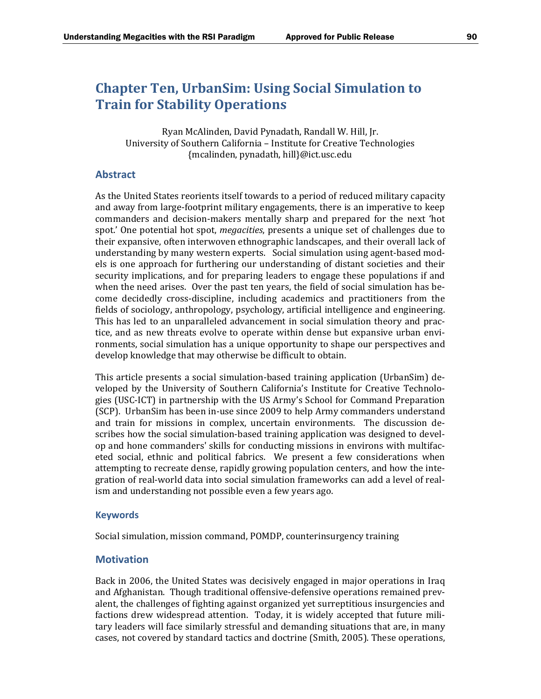# **Chapter Ten, UrbanSim: Using Social Simulation to Train for Stability Operations**

Ryan McAlinden, David Pynadath, Randall W. Hill, Jr. University of Southern California - Institute for Creative Technologies {mcalinden, pynadath, hill}@ict.usc.edu 

## **Abstract**

As the United States reorients itself towards to a period of reduced military capacity and away from large-footprint military engagements, there is an imperative to keep commanders and decision-makers mentally sharp and prepared for the next 'hot spot.' One potential hot spot, *megacities*, presents a unique set of challenges due to their expansive, often interwoven ethnographic landscapes, and their overall lack of understanding by many western experts. Social simulation using agent-based models is one approach for furthering our understanding of distant societies and their security implications, and for preparing leaders to engage these populations if and when the need arises. Over the past ten years, the field of social simulation has become decidedly cross-discipline, including academics and practitioners from the fields of sociology, anthropology, psychology, artificial intelligence and engineering. This has led to an unparalleled advancement in social simulation theory and practice, and as new threats evolve to operate within dense but expansive urban environments, social simulation has a unique opportunity to shape our perspectives and develop knowledge that may otherwise be difficult to obtain.

This article presents a social simulation-based training application (UrbanSim) developed by the University of Southern California's Institute for Creative Technologies (USC-ICT) in partnership with the US Army's School for Command Preparation (SCP). UrbanSim has been in-use since 2009 to help Army commanders understand and train for missions in complex, uncertain environments. The discussion describes how the social simulation-based training application was designed to develop and hone commanders' skills for conducting missions in environs with multifaceted social, ethnic and political fabrics. We present a few considerations when attempting to recreate dense, rapidly growing population centers, and how the integration of real-world data into social simulation frameworks can add a level of realism and understanding not possible even a few years ago.

#### **Keywords**

Social simulation, mission command, POMDP, counterinsurgency training

## **Motivation**

Back in 2006, the United States was decisively engaged in major operations in Iraq and Afghanistan. Though traditional offensive-defensive operations remained prevalent, the challenges of fighting against organized yet surreptitious insurgencies and factions drew widespread attention. Today, it is widely accepted that future military leaders will face similarly stressful and demanding situations that are, in many cases, not covered by standard tactics and doctrine (Smith, 2005). These operations,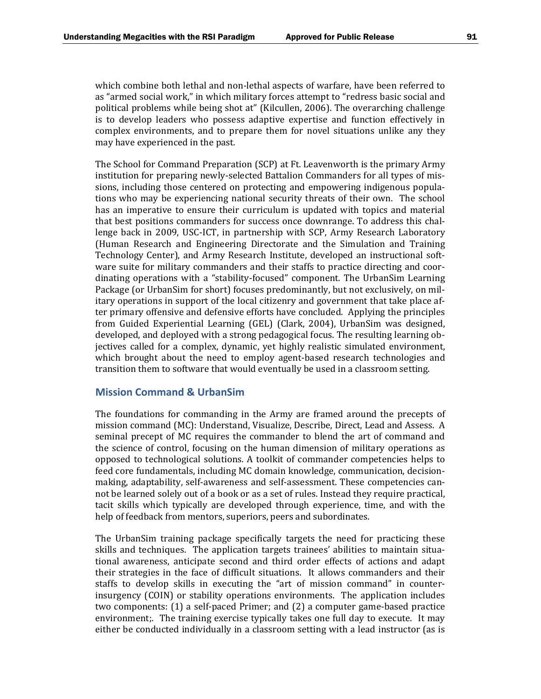which combine both lethal and non-lethal aspects of warfare, have been referred to as "armed social work," in which military forces attempt to "redress basic social and political problems while being shot at" (Kilcullen, 2006). The overarching challenge is to develop leaders who possess adaptive expertise and function effectively in complex environments, and to prepare them for novel situations unlike any they may have experienced in the past.

The School for Command Preparation (SCP) at Ft. Leavenworth is the primary Army institution for preparing newly-selected Battalion Commanders for all types of missions, including those centered on protecting and empowering indigenous populations who may be experiencing national security threats of their own. The school has an imperative to ensure their curriculum is updated with topics and material that best positions commanders for success once downrange. To address this challenge back in 2009, USC-ICT, in partnership with SCP, Army Research Laboratory (Human Research and Engineering Directorate and the Simulation and Training Technology Center), and Army Research Institute, developed an instructional software suite for military commanders and their staffs to practice directing and coordinating operations with a "stability-focused" component. The UrbanSim Learning Package (or UrbanSim for short) focuses predominantly, but not exclusively, on military operations in support of the local citizenry and government that take place after primary offensive and defensive efforts have concluded. Applying the principles from Guided Experiential Learning (GEL) (Clark, 2004), UrbanSim was designed, developed, and deployed with a strong pedagogical focus. The resulting learning objectives called for a complex, dynamic, yet highly realistic simulated environment, which brought about the need to employ agent-based research technologies and transition them to software that would eventually be used in a classroom setting.

## **Mission Command & UrbanSim**

The foundations for commanding in the Army are framed around the precepts of mission command (MC): Understand, Visualize, Describe, Direct, Lead and Assess. A seminal precept of MC requires the commander to blend the art of command and the science of control, focusing on the human dimension of military operations as opposed to technological solutions. A toolkit of commander competencies helps to feed core fundamentals, including MC domain knowledge, communication, decisionmaking, adaptability, self-awareness and self-assessment. These competencies cannot be learned solely out of a book or as a set of rules. Instead they require practical, tacit skills which typically are developed through experience, time, and with the help of feedback from mentors, superiors, peers and subordinates.

The UrbanSim training package specifically targets the need for practicing these skills and techniques. The application targets trainees' abilities to maintain situational awareness, anticipate second and third order effects of actions and adapt their strategies in the face of difficult situations. It allows commanders and their staffs to develop skills in executing the "art of mission command" in counterinsurgency (COIN) or stability operations environments. The application includes two components:  $(1)$  a self-paced Primer; and  $(2)$  a computer game-based practice environment;. The training exercise typically takes one full day to execute. It may either be conducted individually in a classroom setting with a lead instructor (as is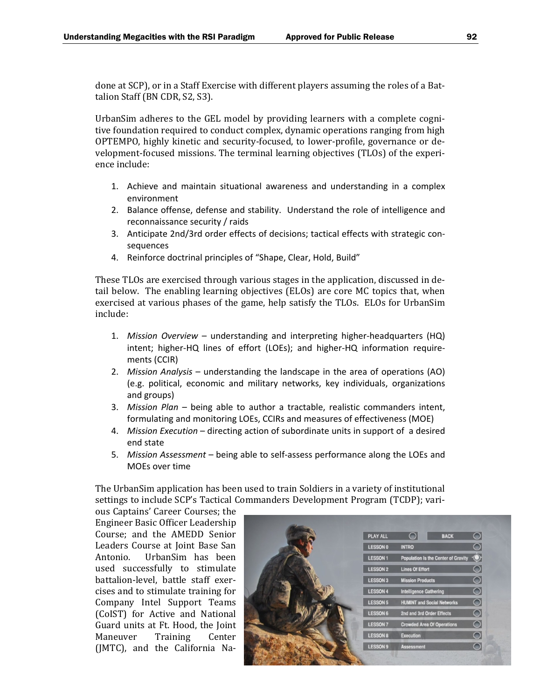done at SCP), or in a Staff Exercise with different players assuming the roles of a Battalion Staff (BN CDR, S2, S3).

UrbanSim adheres to the GEL model by providing learners with a complete cognitive foundation required to conduct complex, dynamic operations ranging from high OPTEMPO, highly kinetic and security-focused, to lower-profile, governance or development-focused missions. The terminal learning objectives (TLOs) of the experience include:

- 1. Achieve and maintain situational awareness and understanding in a complex environment
- 2. Balance offense, defense and stability. Understand the role of intelligence and reconnaissance security / raids
- 3. Anticipate 2nd/3rd order effects of decisions; tactical effects with strategic con‐ sequences
- 4. Reinforce doctrinal principles of "Shape, Clear, Hold, Build"

These TLOs are exercised through various stages in the application, discussed in detail below. The enabling learning objectives (ELOs) are core MC topics that, when exercised at various phases of the game, help satisfy the TLOs. ELOs for UrbanSim include: 

- 1. *Mission Overview* understanding and interpreting higher‐headquarters (HQ) intent; higher-HQ lines of effort (LOEs); and higher-HQ information requirements (CCIR)
- 2. *Mission Analysis* understanding the landscape in the area of operations (AO) (e.g. political, economic and military networks, key individuals, organizations and groups)
- 3. *Mission Plan* being able to author a tractable, realistic commanders intent, formulating and monitoring LOEs, CCIRs and measures of effectiveness (MOE)
- 4. *Mission Execution* directing action of subordinate units in support of a desired end state
- 5. *Mission Assessment* being able to self‐assess performance along the LOEs and MOEs over time

The UrbanSim application has been used to train Soldiers in a variety of institutional settings to include SCP's Tactical Commanders Development Program (TCDP); vari-

ous Captains' Career Courses; the Engineer Basic Officer Leadership Course; and the AMEDD Senior Leaders Course at Joint Base San Antonio. UrbanSim has been used successfully to stimulate battalion-level, battle staff exercises and to stimulate training for Company Intel Support Teams (CoIST) for Active and National Guard units at Ft. Hood, the Joint Maneuver Training Center (JMTC), and the California Na-

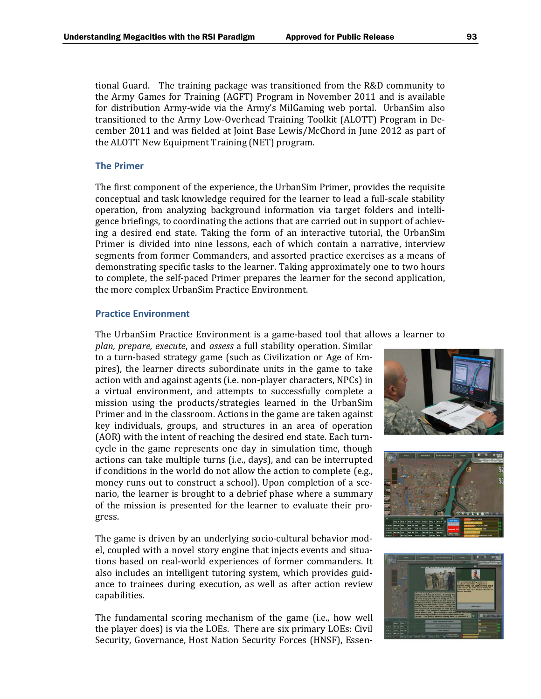tional Guard. The training package was transitioned from the R&D community to the Army Games for Training (AGFT) Program in November 2011 and is available for distribution Army-wide via the Army's MilGaming web portal. UrbanSim also transitioned to the Army Low-Overhead Training Toolkit (ALOTT) Program in December 2011 and was fielded at Joint Base Lewis/McChord in June 2012 as part of the ALOTT New Equipment Training (NET) program.

#### **The Primer**

The first component of the experience, the UrbanSim Primer, provides the requisite conceptual and task knowledge required for the learner to lead a full-scale stability operation, from analyzing background information via target folders and intelligence briefings, to coordinating the actions that are carried out in support of achieving a desired end state. Taking the form of an interactive tutorial, the UrbanSim Primer is divided into nine lessons, each of which contain a narrative, interview segments from former Commanders, and assorted practice exercises as a means of demonstrating specific tasks to the learner. Taking approximately one to two hours to complete, the self-paced Primer prepares the learner for the second application, the more complex UrbanSim Practice Environment.

#### **Practice Environment**

The UrbanSim Practice Environment is a game-based tool that allows a learner to

*plan, prepare, execute*, and *assess* a full stability operation. Similar to a turn-based strategy game (such as Civilization or Age of Empires), the learner directs subordinate units in the game to take action with and against agents (i.e. non-player characters, NPCs) in a virtual environment, and attempts to successfully complete a mission using the products/strategies learned in the UrbanSim Primer and in the classroom. Actions in the game are taken against key individuals, groups, and structures in an area of operation (AOR) with the intent of reaching the desired end state. Each turncycle in the game represents one day in simulation time, though actions can take multiple turns (i.e., days), and can be interrupted if conditions in the world do not allow the action to complete  $(e.g.,)$ money runs out to construct a school). Upon completion of a scenario, the learner is brought to a debrief phase where a summary of the mission is presented for the learner to evaluate their progress. 

The game is driven by an underlying socio-cultural behavior model, coupled with a novel story engine that injects events and situations based on real-world experiences of former commanders. It also includes an intelligent tutoring system, which provides guidance to trainees during execution, as well as after action review capabilities. 

The fundamental scoring mechanism of the game (i.e., how well the player does) is via the LOEs. There are six primary LOEs: Civil Security, Governance, Host Nation Security Forces (HNSF), Essen-





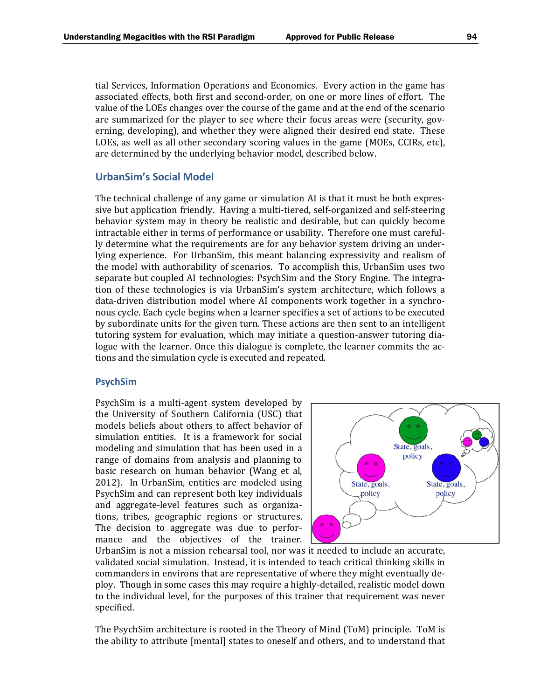tial Services, Information Operations and Economics. Every action in the game has associated effects, both first and second-order, on one or more lines of effort. The value of the LOEs changes over the course of the game and at the end of the scenario are summarized for the player to see where their focus areas were (security, governing, developing), and whether they were aligned their desired end state. These LOEs, as well as all other secondary scoring values in the game (MOEs, CCIRs, etc), are determined by the underlying behavior model, described below.

### **UrbanSim's Social Model**

The technical challenge of any game or simulation AI is that it must be both expressive but application friendly. Having a multi-tiered, self-organized and self-steering behavior system may in theory be realistic and desirable, but can quickly become intractable either in terms of performance or usability. Therefore one must carefully determine what the requirements are for any behavior system driving an underlying experience. For UrbanSim, this meant balancing expressivity and realism of the model with authorability of scenarios. To accomplish this, UrbanSim uses two separate but coupled AI technologies: PsychSim and the Story Engine. The integration of these technologies is via UrbanSim's system architecture, which follows a data-driven distribution model where AI components work together in a synchronous cycle. Each cycle begins when a learner specifies a set of actions to be executed by subordinate units for the given turn. These actions are then sent to an intelligent tutoring system for evaluation, which may initiate a question-answer tutoring dialogue with the learner. Once this dialogue is complete, the learner commits the actions and the simulation cycle is executed and repeated.

#### **PsychSim**

PsychSim is a multi-agent system developed by the University of Southern California (USC) that models beliefs about others to affect behavior of simulation entities. It is a framework for social modeling and simulation that has been used in a range of domains from analysis and planning to basic research on human behavior (Wang et al, 2012). In UrbanSim, entities are modeled using PsychSim and can represent both key individuals and aggregate-level features such as organizations, tribes, geographic regions or structures. The decision to aggregate was due to performance and the objectives of the trainer.



UrbanSim is not a mission rehearsal tool, nor was it needed to include an accurate, validated social simulation. Instead, it is intended to teach critical thinking skills in commanders in environs that are representative of where they might eventually deploy. Though in some cases this may require a highly-detailed, realistic model down to the individual level, for the purposes of this trainer that requirement was never specified. 

The PsychSim architecture is rooted in the Theory of Mind (ToM) principle. ToM is the ability to attribute [mental] states to oneself and others, and to understand that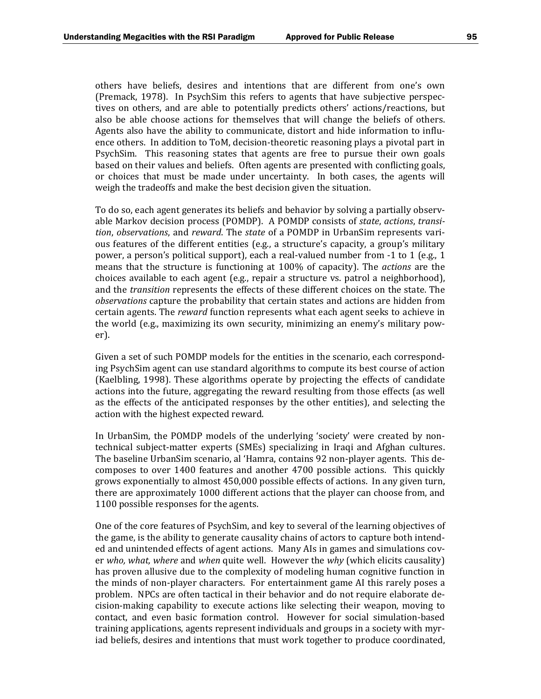others have beliefs, desires and intentions that are different from one's own (Premack, 1978). In PsychSim this refers to agents that have subjective perspectives on others, and are able to potentially predicts others' actions/reactions, but also be able choose actions for themselves that will change the beliefs of others. Agents also have the ability to communicate, distort and hide information to influence others. In addition to ToM, decision-theoretic reasoning plays a pivotal part in PsychSim. This reasoning states that agents are free to pursue their own goals based on their values and beliefs. Often agents are presented with conflicting goals, or choices that must be made under uncertainty. In both cases, the agents will weigh the tradeoffs and make the best decision given the situation.

To do so, each agent generates its beliefs and behavior by solving a partially observable Markov decision process (POMDP). A POMDP consists of *state, actions, transi tion, observations,* and *reward*. The *state* of a POMDP in UrbanSim represents various features of the different entities (e.g., a structure's capacity, a group's military power, a person's political support), each a real-valued number from  $-1$  to 1 (e.g., 1) means that the structure is functioning at 100% of capacity). The *actions* are the choices available to each agent  $(e.g., repair a structure vs. part of a neighborhood)$ , and the *transition* represents the effects of these different choices on the state. The *observations* capture the probability that certain states and actions are hidden from certain agents. The *reward* function represents what each agent seeks to achieve in the world (e.g., maximizing its own security, minimizing an enemy's military power). 

Given a set of such POMDP models for the entities in the scenario, each corresponding PsychSim agent can use standard algorithms to compute its best course of action (Kaelbling, 1998). These algorithms operate by projecting the effects of candidate actions into the future, aggregating the reward resulting from those effects (as well as the effects of the anticipated responses by the other entities), and selecting the action with the highest expected reward.

In UrbanSim, the POMDP models of the underlying 'society' were created by nontechnical subject-matter experts (SMEs) specializing in Iraqi and Afghan cultures. The baseline UrbanSim scenario, al 'Hamra, contains 92 non-player agents. This decomposes to over 1400 features and another 4700 possible actions. This quickly grows exponentially to almost  $450,000$  possible effects of actions. In any given turn, there are approximately 1000 different actions that the player can choose from, and 1100 possible responses for the agents.

One of the core features of PsychSim, and key to several of the learning objectives of the game, is the ability to generate causality chains of actors to capture both intended and unintended effects of agent actions. Many AIs in games and simulations cover *who, what, where* and *when* quite well. However the *why* (which elicits causality) has proven allusive due to the complexity of modeling human cognitive function in the minds of non-player characters. For entertainment game AI this rarely poses a problem. NPCs are often tactical in their behavior and do not require elaborate decision-making capability to execute actions like selecting their weapon, moving to contact, and even basic formation control. However for social simulation-based training applications, agents represent individuals and groups in a society with myriad beliefs, desires and intentions that must work together to produce coordinated,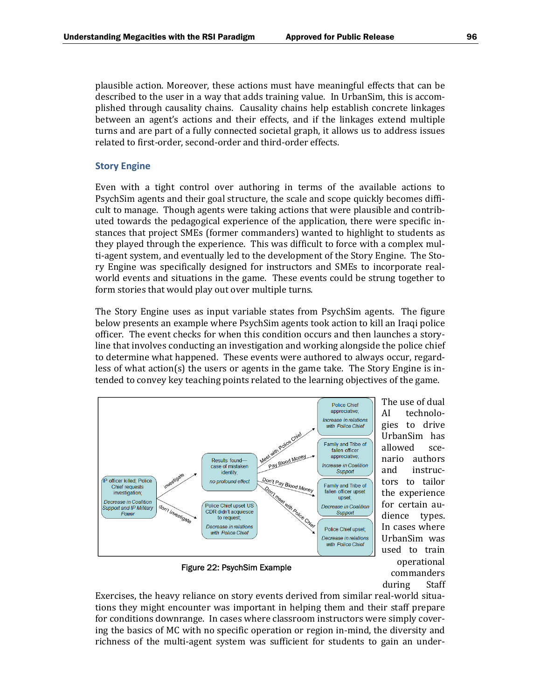plausible action. Moreover, these actions must have meaningful effects that can be described to the user in a way that adds training value. In UrbanSim, this is accomplished through causality chains. Causality chains help establish concrete linkages between an agent's actions and their effects, and if the linkages extend multiple turns and are part of a fully connected societal graph, it allows us to address issues related to first-order, second-order and third-order effects.

#### **Story Engine**

Even with a tight control over authoring in terms of the available actions to PsychSim agents and their goal structure, the scale and scope quickly becomes difficult to manage. Though agents were taking actions that were plausible and contributed towards the pedagogical experience of the application, there were specific instances that project SMEs (former commanders) wanted to highlight to students as they played through the experience. This was difficult to force with a complex multi-agent system, and eventually led to the development of the Story Engine. The Story Engine was specifically designed for instructors and SMEs to incorporate realworld events and situations in the game. These events could be strung together to form stories that would play out over multiple turns.

The Story Engine uses as input variable states from PsychSim agents. The figure below presents an example where PsychSim agents took action to kill an Iraqi police officer. The event checks for when this condition occurs and then launches a storyline that involves conducting an investigation and working alongside the police chief to determine what happened. These events were authored to always occur, regardless of what  $action(s)$  the users or agents in the game take. The Story Engine is intended to convey key teaching points related to the learning objectives of the game.



Figure 22: PsychSim Example

AI technolo‐ gies to drive UrbanSim has allowed scenario authors and instructors to tailor the experience for certain audience types. In cases where UrbanSim was used to train operational commanders during Staff

Exercises, the heavy reliance on story events derived from similar real-world situations they might encounter was important in helping them and their staff prepare for conditions downrange. In cases where classroom instructors were simply covering the basics of MC with no specific operation or region in-mind, the diversity and richness of the multi-agent system was sufficient for students to gain an under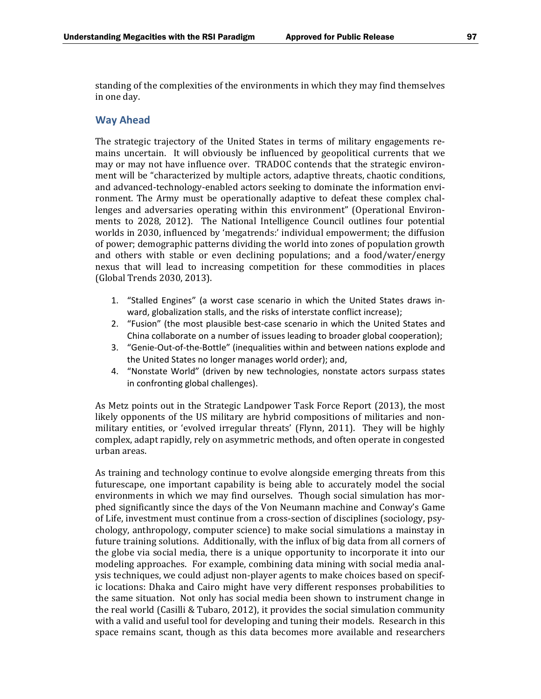standing of the complexities of the environments in which they may find themselves in one day.

## **Way Ahead**

The strategic trajectory of the United States in terms of military engagements remains uncertain. It will obviously be influenced by geopolitical currents that we may or may not have influence over. TRADOC contends that the strategic environment will be "characterized by multiple actors, adaptive threats, chaotic conditions, and advanced-technology-enabled actors seeking to dominate the information environment. The Army must be operationally adaptive to defeat these complex challenges and adversaries operating within this environment" (Operational Environments to 2028, 2012). The National Intelligence Council outlines four potential worlds in 2030, influenced by 'megatrends:' individual empowerment; the diffusion of power; demographic patterns dividing the world into zones of population growth and others with stable or even declining populations; and a food/water/energy nexus that will lead to increasing competition for these commodities in places (Global Trends 2030, 2013). 

- 1. "Stalled Engines" (a worst case scenario in which the United States draws in‐ ward, globalization stalls, and the risks of interstate conflict increase);
- 2. "Fusion" (the most plausible best-case scenario in which the United States and China collaborate on a number of issues leading to broader global cooperation);
- 3. "Genie-Out-of-the-Bottle" (inequalities within and between nations explode and the United States no longer manages world order); and,
- 4. "Nonstate World" (driven by new technologies, nonstate actors surpass states in confronting global challenges).

As Metz points out in the Strategic Landpower Task Force Report (2013), the most likely opponents of the US military are hybrid compositions of militaries and nonmilitary entities, or 'evolved irregular threats' (Flynn, 2011). They will be highly complex, adapt rapidly, rely on asymmetric methods, and often operate in congested urban areas.

As training and technology continue to evolve alongside emerging threats from this futurescape, one important capability is being able to accurately model the social environments in which we may find ourselves. Though social simulation has morphed significantly since the days of the Von Neumann machine and Conway's Game of Life, investment must continue from a cross-section of disciplines (sociology, psychology, anthropology, computer science) to make social simulations a mainstay in future training solutions. Additionally, with the influx of big data from all corners of the globe via social media, there is a unique opportunity to incorporate it into our modeling approaches. For example, combining data mining with social media analysis techniques, we could adjust non-player agents to make choices based on specific locations: Dhaka and Cairo might have very different responses probabilities to the same situation. Not only has social media been shown to instrument change in the real world (Casilli & Tubaro, 2012), it provides the social simulation community with a valid and useful tool for developing and tuning their models. Research in this space remains scant, though as this data becomes more available and researchers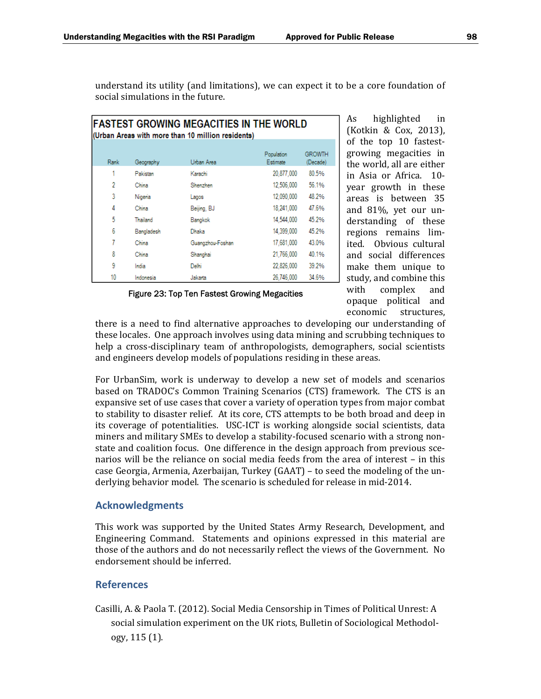| <b>FASTEST GROWING MEGACITIES IN THE WORLD</b><br>(Urban Areas with more than 10 million residents) |            |                  |                        |                    |  |  |  |  |  |
|-----------------------------------------------------------------------------------------------------|------------|------------------|------------------------|--------------------|--|--|--|--|--|
| Rank                                                                                                | Geography  | Urban Area       | Population<br>Estimate | GROWTH<br>(Decade) |  |  |  |  |  |
| 1                                                                                                   | Pakistan   | Karachi          | 20.877.000             | 80.5%              |  |  |  |  |  |
| 2                                                                                                   | China      | Shenzhen         | 12,506,000             | 56.1%              |  |  |  |  |  |
| 3                                                                                                   | Nigeria    | Lagos            | 12.090.000             | 48.2%              |  |  |  |  |  |
| 4                                                                                                   | China      | Beijing, BJ      | 18.241.000             | 47.6%              |  |  |  |  |  |
| 5                                                                                                   | Thailand   | Bangkok          | 14.544.000             | 45.2%              |  |  |  |  |  |
| 6                                                                                                   | Bangladesh | Dhaka            | 14.399.000             | 45.2%              |  |  |  |  |  |
| 7                                                                                                   | China      | Guangzhou-Foshan | 17.681.000             | 43.0%              |  |  |  |  |  |
| 8                                                                                                   | China      | Shanghai         | 21.766.000             | 40.1%              |  |  |  |  |  |
| 9                                                                                                   | India      | Delhi            | 22.826.000             | 39.2%              |  |  |  |  |  |
| 10                                                                                                  | Indonesia  | Jakarta          | 26,746,000             | 34.6%              |  |  |  |  |  |

understand its utility (and limitations), we can expect it to be a core foundation of social simulations in the future.

|  |  |  | Figure 23: Top Ten Fastest Growing Megacities |
|--|--|--|-----------------------------------------------|
|  |  |  |                                               |
|  |  |  |                                               |

As highlighted in (Kotkin & Cox, 2013), of the top 10 fastestgrowing megacities in the world, all are either in Asia or Africa. 10year growth in these areas is between 35 and 81%, yet our understanding of these regions remains limited. Obvious cultural and social differences make them unique to study, and combine this with complex and opaque political and economic structures, 

there is a need to find alternative approaches to developing our understanding of these locales. One approach involves using data mining and scrubbing techniques to help a cross-disciplinary team of anthropologists, demographers, social scientists and engineers develop models of populations residing in these areas.

For UrbanSim, work is underway to develop a new set of models and scenarios based on TRADOC's Common Training Scenarios (CTS) framework. The CTS is an expansive set of use cases that cover a variety of operation types from major combat to stability to disaster relief. At its core, CTS attempts to be both broad and deep in its coverage of potentialities. USC-ICT is working alongside social scientists, data miners and military SMEs to develop a stability-focused scenario with a strong nonstate and coalition focus. One difference in the design approach from previous scenarios will be the reliance on social media feeds from the area of interest - in this case Georgia, Armenia, Azerbaijan, Turkey (GAAT) – to seed the modeling of the underlying behavior model. The scenario is scheduled for release in mid-2014.

## **Acknowledgments**

This work was supported by the United States Army Research, Development, and Engineering Command. Statements and opinions expressed in this material are those of the authors and do not necessarily reflect the views of the Government. No endorsement should be inferred.

# **References**

Casilli, A. & Paola T. (2012). Social Media Censorship in Times of Political Unrest: A social simulation experiment on the UK riots, Bulletin of Sociological Methodology, 115 (1).